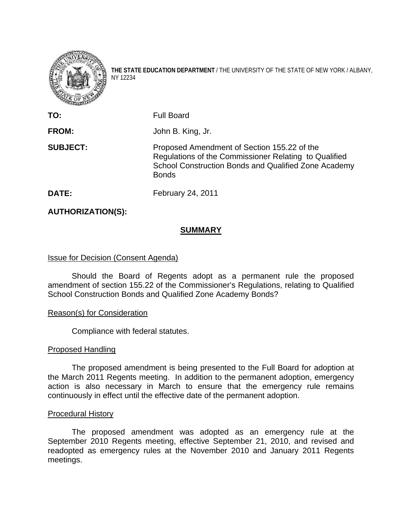

**THE STATE EDUCATION DEPARTMENT** / THE UNIVERSITY OF THE STATE OF NEW YORK / ALBANY, NY 12234

| TO:             | <b>Full Board</b>                                                                                                                                                            |
|-----------------|------------------------------------------------------------------------------------------------------------------------------------------------------------------------------|
| <b>FROM:</b>    | John B. King, Jr.                                                                                                                                                            |
| <b>SUBJECT:</b> | Proposed Amendment of Section 155.22 of the<br>Regulations of the Commissioner Relating to Qualified<br>School Construction Bonds and Qualified Zone Academy<br><b>Bonds</b> |
| DATE:           | February 24, 2011                                                                                                                                                            |

## **AUTHORIZATION(S):**

### **SUMMARY**

### Issue for Decision (Consent Agenda)

Should the Board of Regents adopt as a permanent rule the proposed amendment of section 155.22 of the Commissioner's Regulations, relating to Qualified School Construction Bonds and Qualified Zone Academy Bonds?

#### Reason(s) for Consideration

Compliance with federal statutes.

#### Proposed Handling

 The proposed amendment is being presented to the Full Board for adoption at the March 2011 Regents meeting. In addition to the permanent adoption, emergency action is also necessary in March to ensure that the emergency rule remains continuously in effect until the effective date of the permanent adoption.

#### Procedural History

The proposed amendment was adopted as an emergency rule at the September 2010 Regents meeting, effective September 21, 2010, and revised and readopted as emergency rules at the November 2010 and January 2011 Regents meetings.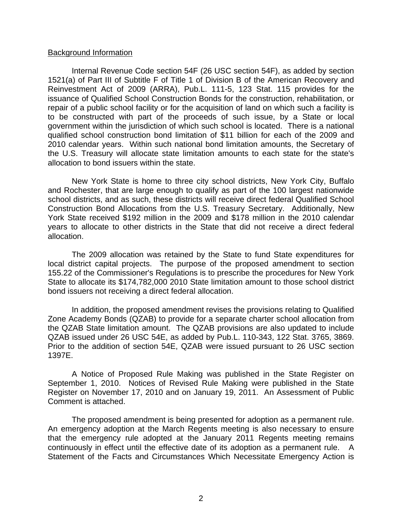#### Background Information

Internal Revenue Code section 54F (26 USC section 54F), as added by section 1521(a) of Part III of Subtitle F of Title 1 of Division B of the American Recovery and Reinvestment Act of 2009 (ARRA), Pub.L. 111-5, 123 Stat. 115 provides for the issuance of Qualified School Construction Bonds for the construction, rehabilitation, or repair of a public school facility or for the acquisition of land on which such a facility is to be constructed with part of the proceeds of such issue, by a State or local government within the jurisdiction of which such school is located. There is a national qualified school construction bond limitation of \$11 billion for each of the 2009 and 2010 calendar years. Within such national bond limitation amounts, the Secretary of the U.S. Treasury will allocate state limitation amounts to each state for the state's allocation to bond issuers within the state.

New York State is home to three city school districts, New York City, Buffalo and Rochester, that are large enough to qualify as part of the 100 largest nationwide school districts, and as such, these districts will receive direct federal Qualified School Construction Bond Allocations from the U.S. Treasury Secretary. Additionally, New York State received \$192 million in the 2009 and \$178 million in the 2010 calendar years to allocate to other districts in the State that did not receive a direct federal allocation.

The 2009 allocation was retained by the State to fund State expenditures for local district capital projects. The purpose of the proposed amendment to section 155.22 of the Commissioner's Regulations is to prescribe the procedures for New York State to allocate its \$174,782,000 2010 State limitation amount to those school district bond issuers not receiving a direct federal allocation.

In addition, the proposed amendment revises the provisions relating to Qualified Zone Academy Bonds (QZAB) to provide for a separate charter school allocation from the QZAB State limitation amount. The QZAB provisions are also updated to include QZAB issued under 26 USC 54E, as added by Pub.L. 110-343, 122 Stat. 3765, 3869. Prior to the addition of section 54E, QZAB were issued pursuant to 26 USC section 1397E.

 A Notice of Proposed Rule Making was published in the State Register on September 1, 2010. Notices of Revised Rule Making were published in the State Register on November 17, 2010 and on January 19, 2011. An Assessment of Public Comment is attached.

 The proposed amendment is being presented for adoption as a permanent rule. An emergency adoption at the March Regents meeting is also necessary to ensure that the emergency rule adopted at the January 2011 Regents meeting remains continuously in effect until the effective date of its adoption as a permanent rule. A Statement of the Facts and Circumstances Which Necessitate Emergency Action is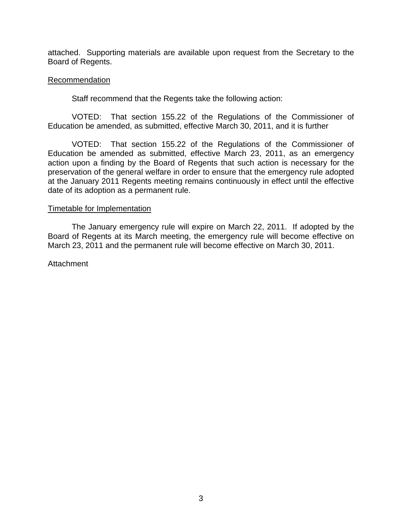attached. Supporting materials are available upon request from the Secretary to the Board of Regents.

### **Recommendation**

Staff recommend that the Regents take the following action:

 VOTED: That section 155.22 of the Regulations of the Commissioner of Education be amended, as submitted, effective March 30, 2011, and it is further

 VOTED: That section 155.22 of the Regulations of the Commissioner of Education be amended as submitted, effective March 23, 2011, as an emergency action upon a finding by the Board of Regents that such action is necessary for the preservation of the general welfare in order to ensure that the emergency rule adopted at the January 2011 Regents meeting remains continuously in effect until the effective date of its adoption as a permanent rule.

#### Timetable for Implementation

The January emergency rule will expire on March 22, 2011. If adopted by the Board of Regents at its March meeting, the emergency rule will become effective on March 23, 2011 and the permanent rule will become effective on March 30, 2011.

Attachment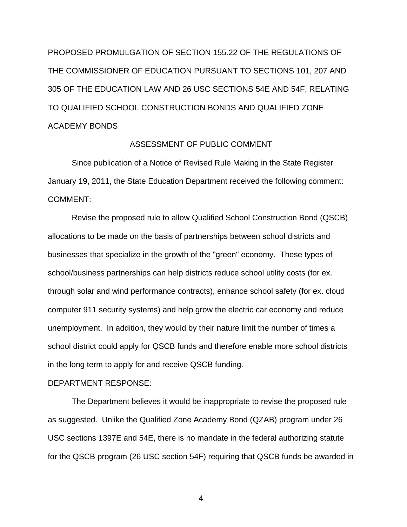PROPOSED PROMULGATION OF SECTION 155.22 OF THE REGULATIONS OF THE COMMISSIONER OF EDUCATION PURSUANT TO SECTIONS 101, 207 AND 305 OF THE EDUCATION LAW AND 26 USC SECTIONS 54E AND 54F, RELATING TO QUALIFIED SCHOOL CONSTRUCTION BONDS AND QUALIFIED ZONE ACADEMY BONDS

### ASSESSMENT OF PUBLIC COMMENT

 Since publication of a Notice of Revised Rule Making in the State Register January 19, 2011, the State Education Department received the following comment: COMMENT:

 Revise the proposed rule to allow Qualified School Construction Bond (QSCB) allocations to be made on the basis of partnerships between school districts and businesses that specialize in the growth of the "green" economy. These types of school/business partnerships can help districts reduce school utility costs (for ex. through solar and wind performance contracts), enhance school safety (for ex. cloud computer 911 security systems) and help grow the electric car economy and reduce unemployment. In addition, they would by their nature limit the number of times a school district could apply for QSCB funds and therefore enable more school districts in the long term to apply for and receive QSCB funding.

#### DEPARTMENT RESPONSE:

 The Department believes it would be inappropriate to revise the proposed rule as suggested. Unlike the Qualified Zone Academy Bond (QZAB) program under 26 USC sections 1397E and 54E, there is no mandate in the federal authorizing statute for the QSCB program (26 USC section 54F) requiring that QSCB funds be awarded in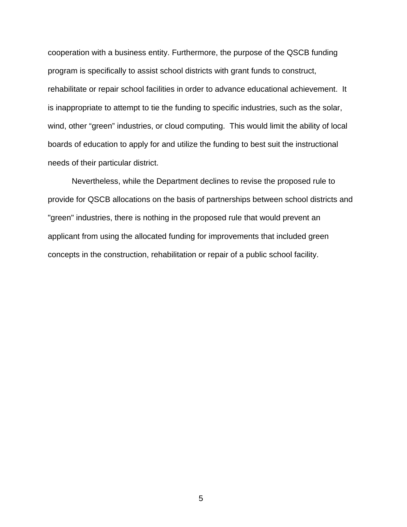cooperation with a business entity. Furthermore, the purpose of the QSCB funding program is specifically to assist school districts with grant funds to construct, rehabilitate or repair school facilities in order to advance educational achievement. It is inappropriate to attempt to tie the funding to specific industries, such as the solar, wind, other "green" industries, or cloud computing. This would limit the ability of local boards of education to apply for and utilize the funding to best suit the instructional needs of their particular district.

 Nevertheless, while the Department declines to revise the proposed rule to provide for QSCB allocations on the basis of partnerships between school districts and "green" industries, there is nothing in the proposed rule that would prevent an applicant from using the allocated funding for improvements that included green concepts in the construction, rehabilitation or repair of a public school facility.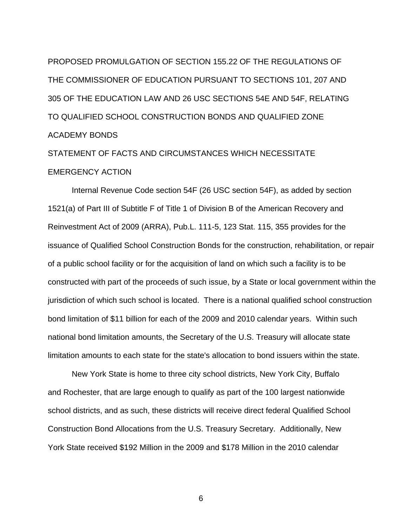PROPOSED PROMULGATION OF SECTION 155.22 OF THE REGULATIONS OF THE COMMISSIONER OF EDUCATION PURSUANT TO SECTIONS 101, 207 AND 305 OF THE EDUCATION LAW AND 26 USC SECTIONS 54E AND 54F, RELATING TO QUALIFIED SCHOOL CONSTRUCTION BONDS AND QUALIFIED ZONE ACADEMY BONDS

# STATEMENT OF FACTS AND CIRCUMSTANCES WHICH NECESSITATE EMERGENCY ACTION

Internal Revenue Code section 54F (26 USC section 54F), as added by section 1521(a) of Part III of Subtitle F of Title 1 of Division B of the American Recovery and Reinvestment Act of 2009 (ARRA), Pub.L. 111-5, 123 Stat. 115, 355 provides for the issuance of Qualified School Construction Bonds for the construction, rehabilitation, or repair of a public school facility or for the acquisition of land on which such a facility is to be constructed with part of the proceeds of such issue, by a State or local government within the jurisdiction of which such school is located. There is a national qualified school construction bond limitation of \$11 billion for each of the 2009 and 2010 calendar years. Within such national bond limitation amounts, the Secretary of the U.S. Treasury will allocate state limitation amounts to each state for the state's allocation to bond issuers within the state.

New York State is home to three city school districts, New York City, Buffalo and Rochester, that are large enough to qualify as part of the 100 largest nationwide school districts, and as such, these districts will receive direct federal Qualified School Construction Bond Allocations from the U.S. Treasury Secretary. Additionally, New York State received \$192 Million in the 2009 and \$178 Million in the 2010 calendar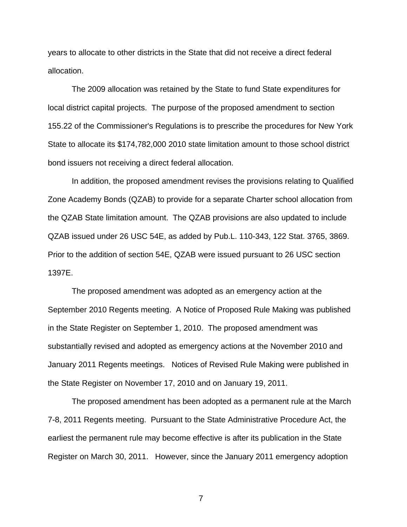years to allocate to other districts in the State that did not receive a direct federal allocation.

The 2009 allocation was retained by the State to fund State expenditures for local district capital projects. The purpose of the proposed amendment to section 155.22 of the Commissioner's Regulations is to prescribe the procedures for New York State to allocate its \$174,782,000 2010 state limitation amount to those school district bond issuers not receiving a direct federal allocation.

In addition, the proposed amendment revises the provisions relating to Qualified Zone Academy Bonds (QZAB) to provide for a separate Charter school allocation from the QZAB State limitation amount. The QZAB provisions are also updated to include QZAB issued under 26 USC 54E, as added by Pub.L. 110-343, 122 Stat. 3765, 3869. Prior to the addition of section 54E, QZAB were issued pursuant to 26 USC section 1397E.

 The proposed amendment was adopted as an emergency action at the September 2010 Regents meeting. A Notice of Proposed Rule Making was published in the State Register on September 1, 2010. The proposed amendment was substantially revised and adopted as emergency actions at the November 2010 and January 2011 Regents meetings. Notices of Revised Rule Making were published in the State Register on November 17, 2010 and on January 19, 2011.

 The proposed amendment has been adopted as a permanent rule at the March 7-8, 2011 Regents meeting. Pursuant to the State Administrative Procedure Act, the earliest the permanent rule may become effective is after its publication in the State Register on March 30, 2011. However, since the January 2011 emergency adoption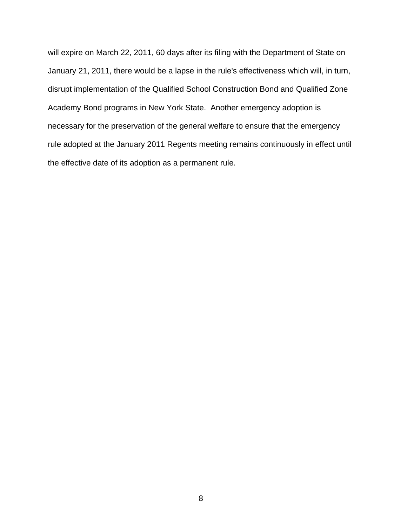will expire on March 22, 2011, 60 days after its filing with the Department of State on January 21, 2011, there would be a lapse in the rule's effectiveness which will, in turn, disrupt implementation of the Qualified School Construction Bond and Qualified Zone Academy Bond programs in New York State. Another emergency adoption is necessary for the preservation of the general welfare to ensure that the emergency rule adopted at the January 2011 Regents meeting remains continuously in effect until the effective date of its adoption as a permanent rule.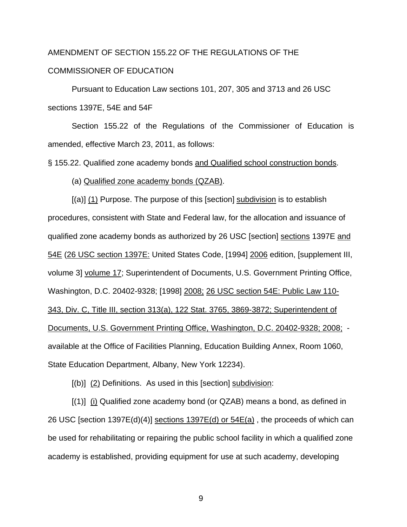# AMENDMENT OF SECTION 155.22 OF THE REGULATIONS OF THE COMMISSIONER OF EDUCATION

 Pursuant to Education Law sections 101, 207, 305 and 3713 and 26 USC sections 1397E, 54E and 54F

 Section 155.22 of the Regulations of the Commissioner of Education is amended, effective March 23, 2011, as follows:

§ 155.22. Qualified zone academy bonds and Qualified school construction bonds.

(a) Qualified zone academy bonds (QZAB).

 [(a)] (1) Purpose. The purpose of this [section] subdivision is to establish procedures, consistent with State and Federal law, for the allocation and issuance of qualified zone academy bonds as authorized by 26 USC [section] sections 1397E and 54E (26 USC section 1397E: United States Code, [1994] 2006 edition, [supplement III, volume 3] volume 17; Superintendent of Documents, U.S. Government Printing Office, Washington, D.C. 20402-9328; [1998] 2008; 26 USC section 54E: Public Law 110- 343, Div. C, Title III, section 313(a), 122 Stat. 3765, 3869-3872; Superintendent of Documents, U.S. Government Printing Office, Washington, D.C. 20402-9328; 2008; available at the Office of Facilities Planning, Education Building Annex, Room 1060, State Education Department, Albany, New York 12234).

 $[(b)]$   $(2)$  Definitions. As used in this [section] subdivision:

 $[(1)]$  (i) Qualified zone academy bond (or QZAB) means a bond, as defined in 26 USC [section 1397E(d)(4)] sections  $1397E(d)$  or  $54E(a)$ , the proceeds of which can be used for rehabilitating or repairing the public school facility in which a qualified zone academy is established, providing equipment for use at such academy, developing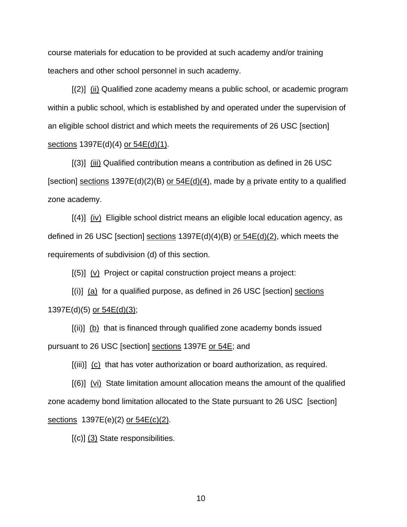course materials for education to be provided at such academy and/or training teachers and other school personnel in such academy.

 [(2)] (ii) Qualified zone academy means a public school, or academic program within a public school, which is established by and operated under the supervision of an eligible school district and which meets the requirements of 26 USC [section] sections 1397E(d)(4) or 54E(d)(1).

 [(3)] (iii) Qualified contribution means a contribution as defined in 26 USC [section] sections  $1397E(d)(2)(B)$  or  $54E(d)(4)$ , made by a private entity to a qualified zone academy.

 $[(4)]$   $(iv)$  Eligible school district means an eligible local education agency, as defined in 26 USC [section] sections  $1397E(d)(4)(B)$  or  $54E(d)(2)$ , which meets the requirements of subdivision (d) of this section.

[(5)] (v) Project or capital construction project means a project:

 $[(i)]$  (a) for a qualified purpose, as defined in 26 USC [section] sections 1397E(d)(5) or 54E(d)(3);

 $[(ii)]$  (b) that is financed through qualified zone academy bonds issued pursuant to 26 USC [section] sections 1397E or 54E; and

[(iii)] (c) that has voter authorization or board authorization, as required.

 $[(6)]$  (vi) State limitation amount allocation means the amount of the qualified zone academy bond limitation allocated to the State pursuant to 26 USC [section] sections 1397E(e)(2) or  $54E(c)(2)$ .

 $[(c)]$   $(3)$  State responsibilities.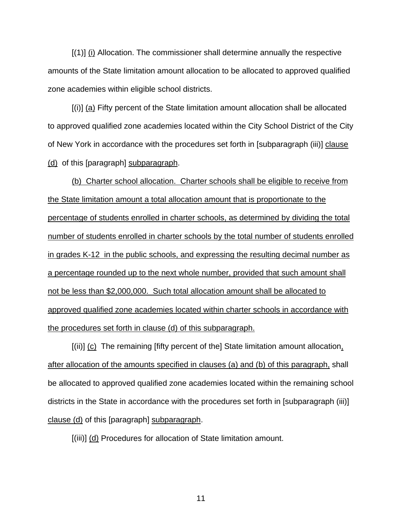[(1)] (i) Allocation. The commissioner shall determine annually the respective amounts of the State limitation amount allocation to be allocated to approved qualified zone academies within eligible school districts.

 $[(i)]$  (a) Fifty percent of the State limitation amount allocation shall be allocated to approved qualified zone academies located within the City School District of the City of New York in accordance with the procedures set forth in [subparagraph (iii)] clause (d) of this [paragraph] subparagraph.

(b) Charter school allocation. Charter schools shall be eligible to receive from the State limitation amount a total allocation amount that is proportionate to the percentage of students enrolled in charter schools, as determined by dividing the total number of students enrolled in charter schools by the total number of students enrolled in grades K-12 in the public schools, and expressing the resulting decimal number as a percentage rounded up to the next whole number, provided that such amount shall not be less than \$2,000,000. Such total allocation amount shall be allocated to approved qualified zone academies located within charter schools in accordance with the procedures set forth in clause (d) of this subparagraph.

[(ii)] (c) The remaining [fifty percent of the] State limitation amount allocation, after allocation of the amounts specified in clauses (a) and (b) of this paragraph, shall be allocated to approved qualified zone academies located within the remaining school districts in the State in accordance with the procedures set forth in [subparagraph (iii)] clause (d) of this [paragraph] subparagraph.

[(iii)] (d) Procedures for allocation of State limitation amount.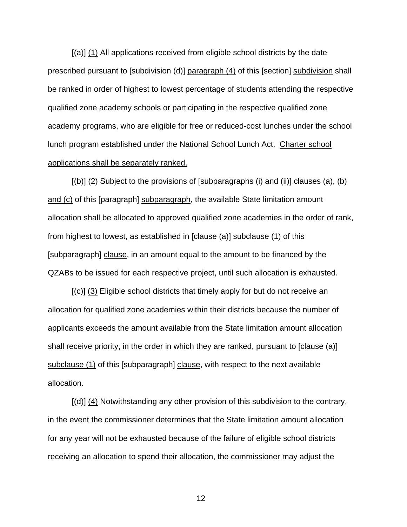[(a)] (1) All applications received from eligible school districts by the date prescribed pursuant to [subdivision (d)] paragraph (4) of this [section] subdivision shall be ranked in order of highest to lowest percentage of students attending the respective qualified zone academy schools or participating in the respective qualified zone academy programs, who are eligible for free or reduced-cost lunches under the school lunch program established under the National School Lunch Act. Charter school applications shall be separately ranked.

 $[(b)]$  (2) Subject to the provisions of [subparagraphs (i) and (ii)] clauses (a), (b) and (c) of this [paragraph] subparagraph, the available State limitation amount allocation shall be allocated to approved qualified zone academies in the order of rank, from highest to lowest, as established in [clause (a)] subclause (1) of this [subparagraph] clause, in an amount equal to the amount to be financed by the QZABs to be issued for each respective project, until such allocation is exhausted.

 [(c)] (3) Eligible school districts that timely apply for but do not receive an allocation for qualified zone academies within their districts because the number of applicants exceeds the amount available from the State limitation amount allocation shall receive priority, in the order in which they are ranked, pursuant to [clause (a)] subclause (1) of this [subparagraph] clause, with respect to the next available allocation.

 $[(d)]$  (4) Notwithstanding any other provision of this subdivision to the contrary, in the event the commissioner determines that the State limitation amount allocation for any year will not be exhausted because of the failure of eligible school districts receiving an allocation to spend their allocation, the commissioner may adjust the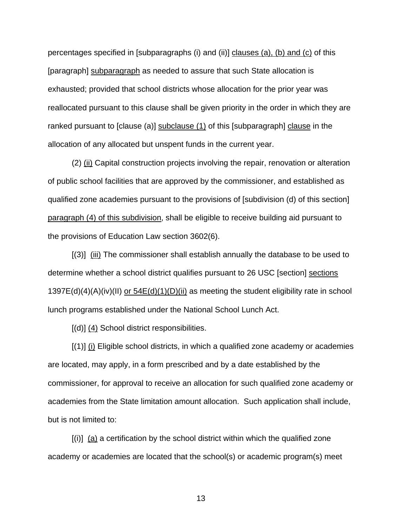percentages specified in [subparagraphs (i) and (ii)] clauses (a), (b) and (c) of this [paragraph] subparagraph as needed to assure that such State allocation is exhausted; provided that school districts whose allocation for the prior year was reallocated pursuant to this clause shall be given priority in the order in which they are ranked pursuant to [clause (a)] subclause (1) of this [subparagraph] clause in the allocation of any allocated but unspent funds in the current year.

 (2) (ii) Capital construction projects involving the repair, renovation or alteration of public school facilities that are approved by the commissioner, and established as qualified zone academies pursuant to the provisions of [subdivision (d) of this section] paragraph (4) of this subdivision, shall be eligible to receive building aid pursuant to the provisions of Education Law section 3602(6).

 [(3)] (iii) The commissioner shall establish annually the database to be used to determine whether a school district qualifies pursuant to 26 USC [section] sections 1397E(d)(4)(A)(iv)(II) <u>or 54E(d)(1)(D)(ii)</u> as meeting the student eligibility rate in school lunch programs established under the National School Lunch Act.

[(d)] (4) School district responsibilities.

 $[(1)]$   $(i)$  Eligible school districts, in which a qualified zone academy or academies are located, may apply, in a form prescribed and by a date established by the commissioner, for approval to receive an allocation for such qualified zone academy or academies from the State limitation amount allocation. Such application shall include, but is not limited to:

 $[(i)]$  (a) a certification by the school district within which the qualified zone academy or academies are located that the school(s) or academic program(s) meet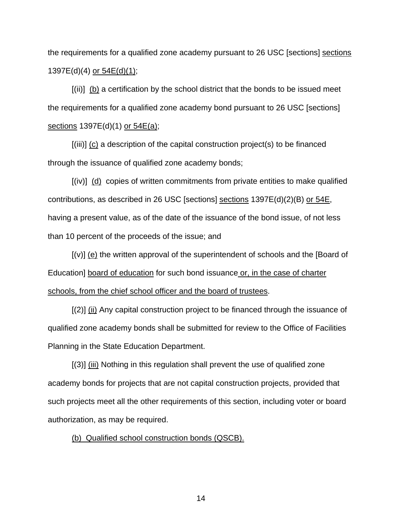the requirements for a qualified zone academy pursuant to 26 USC [sections] sections 1397E(d)(4) or 54E(d)(1);

 [(ii)] (b) a certification by the school district that the bonds to be issued meet the requirements for a qualified zone academy bond pursuant to 26 USC [sections] sections 1397E(d)(1) or 54E(a);

 $[(iii)]$  (c) a description of the capital construction project(s) to be financed through the issuance of qualified zone academy bonds;

 [(iv)] (d) copies of written commitments from private entities to make qualified contributions, as described in 26 USC [sections] sections  $1397E(d)(2)(B)$  or  $54E$ , having a present value, as of the date of the issuance of the bond issue, of not less than 10 percent of the proceeds of the issue; and

 [(v)] (e) the written approval of the superintendent of schools and the [Board of Education] board of education for such bond issuance or, in the case of charter schools, from the chief school officer and the board of trustees.

 $[(2)]$   $(i)$  Any capital construction project to be financed through the issuance of qualified zone academy bonds shall be submitted for review to the Office of Facilities Planning in the State Education Department.

 [(3)] (iii) Nothing in this regulation shall prevent the use of qualified zone academy bonds for projects that are not capital construction projects, provided that such projects meet all the other requirements of this section, including voter or board authorization, as may be required.

(b) Qualified school construction bonds (QSCB).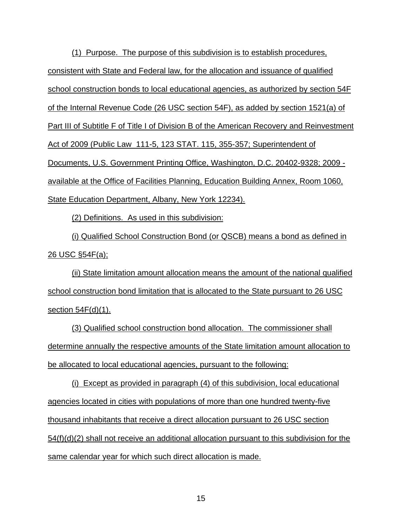(1) Purpose. The purpose of this subdivision is to establish procedures, consistent with State and Federal law, for the allocation and issuance of qualified school construction bonds to local educational agencies, as authorized by section 54F of the Internal Revenue Code (26 USC section 54F), as added by section 1521(a) of Part III of Subtitle F of Title I of Division B of the American Recovery and Reinvestment Act of 2009 (Public Law 111-5, 123 STAT. 115, 355-357; Superintendent of Documents, U.S. Government Printing Office, Washington, D.C. 20402-9328; 2009 available at the Office of Facilities Planning, Education Building Annex, Room 1060, State Education Department, Albany, New York 12234).

(2) Definitions. As used in this subdivision:

(i) Qualified School Construction Bond (or QSCB) means a bond as defined in <u>26 USC §54F(a);</u>

(ii) State limitation amount allocation means the amount of the national qualified school construction bond limitation that is allocated to the State pursuant to 26 USC section 54F(d)(1).

(3) Qualified school construction bond allocation. The commissioner shall determine annually the respective amounts of the State limitation amount allocation to be allocated to local educational agencies, pursuant to the following:

(i) Except as provided in paragraph (4) of this subdivision, local educational agencies located in cities with populations of more than one hundred twenty-five thousand inhabitants that receive a direct allocation pursuant to 26 USC section 54(f)(d)(2) shall not receive an additional allocation pursuant to this subdivision for the same calendar year for which such direct allocation is made.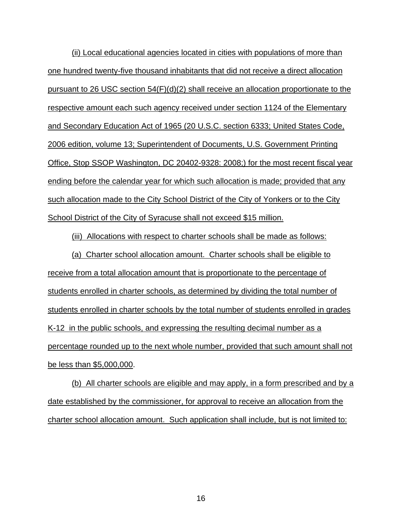(ii) Local educational agencies located in cities with populations of more than one hundred twenty-five thousand inhabitants that did not receive a direct allocation pursuant to 26 USC section 54(F)(d)(2) shall receive an allocation proportionate to the respective amount each such agency received under section 1124 of the Elementary and Secondary Education Act of 1965 (20 U.S.C. section 6333; United States Code, 2006 edition, volume 13; Superintendent of Documents, U.S. Government Printing Office, Stop SSOP Washington, DC 20402-9328: 2008;) for the most recent fiscal year ending before the calendar year for which such allocation is made; provided that any such allocation made to the City School District of the City of Yonkers or to the City School District of the City of Syracuse shall not exceed \$15 million.

(iii) Allocations with respect to charter schools shall be made as follows:

(a) Charter school allocation amount. Charter schools shall be eligible to receive from a total allocation amount that is proportionate to the percentage of students enrolled in charter schools, as determined by dividing the total number of students enrolled in charter schools by the total number of students enrolled in grades K-12 in the public schools, and expressing the resulting decimal number as a percentage rounded up to the next whole number, provided that such amount shall not be less than \$5,000,000.

(b) All charter schools are eligible and may apply, in a form prescribed and by a date established by the commissioner, for approval to receive an allocation from the charter school allocation amount. Such application shall include, but is not limited to: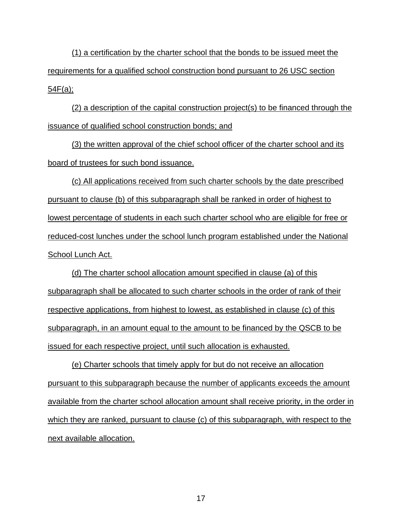(1) a certification by the charter school that the bonds to be issued meet the requirements for a qualified school construction bond pursuant to 26 USC section 54F(a);

(2) a description of the capital construction project(s) to be financed through the issuance of qualified school construction bonds; and

(3) the written approval of the chief school officer of the charter school and its board of trustees for such bond issuance.

(c) All applications received from such charter schools by the date prescribed pursuant to clause (b) of this subparagraph shall be ranked in order of highest to lowest percentage of students in each such charter school who are eligible for free or reduced-cost lunches under the school lunch program established under the National School Lunch Act.

(d) The charter school allocation amount specified in clause (a) of this subparagraph shall be allocated to such charter schools in the order of rank of their respective applications, from highest to lowest, as established in clause (c) of this subparagraph, in an amount equal to the amount to be financed by the QSCB to be issued for each respective project, until such allocation is exhausted.

(e) Charter schools that timely apply for but do not receive an allocation pursuant to this subparagraph because the number of applicants exceeds the amount available from the charter school allocation amount shall receive priority, in the order in which they are ranked, pursuant to clause (c) of this subparagraph, with respect to the next available allocation.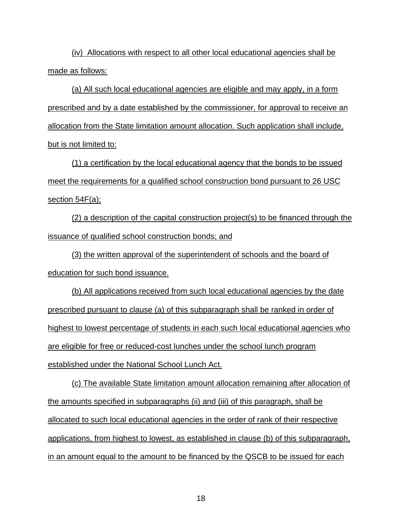(iv) Allocations with respect to all other local educational agencies shall be made as follows:

(a) All such local educational agencies are eligible and may apply, in a form prescribed and by a date established by the commissioner, for approval to receive an allocation from the State limitation amount allocation. Such application shall include, but is not limited to:

(1) a certification by the local educational agency that the bonds to be issued meet the requirements for a qualified school construction bond pursuant to 26 USC section 54F(a);

(2) a description of the capital construction project(s) to be financed through the issuance of qualified school construction bonds; and

(3) the written approval of the superintendent of schools and the board of education for such bond issuance.

(b) All applications received from such local educational agencies by the date prescribed pursuant to clause (a) of this subparagraph shall be ranked in order of highest to lowest percentage of students in each such local educational agencies who are eligible for free or reduced-cost lunches under the school lunch program established under the National School Lunch Act.

(c) The available State limitation amount allocation remaining after allocation of the amounts specified in subparagraphs (ii) and (iii) of this paragraph, shall be allocated to such local educational agencies in the order of rank of their respective applications, from highest to lowest, as established in clause (b) of this subparagraph, in an amount equal to the amount to be financed by the QSCB to be issued for each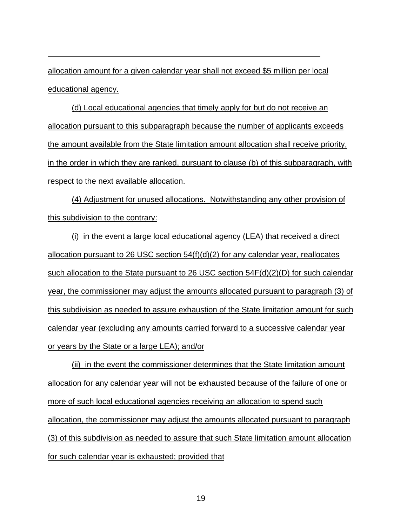allocation amount for a given calendar year shall not exceed \$5 million per local educational agency.

(d) Local educational agencies that timely apply for but do not receive an allocation pursuant to this subparagraph because the number of applicants exceeds the amount available from the State limitation amount allocation shall receive priority, in the order in which they are ranked, pursuant to clause (b) of this subparagraph, with respect to the next available allocation.

(4) Adjustment for unused allocations. Notwithstanding any other provision of this subdivision to the contrary:

(i) in the event a large local educational agency (LEA) that received a direct allocation pursuant to 26 USC section  $54(f)(d)(2)$  for any calendar year, reallocates such allocation to the State pursuant to 26 USC section 54F(d)(2)(D) for such calendar year, the commissioner may adjust the amounts allocated pursuant to paragraph (3) of this subdivision as needed to assure exhaustion of the State limitation amount for such calendar year (excluding any amounts carried forward to a successive calendar year or years by the State or a large LEA); and/or

(ii) in the event the commissioner determines that the State limitation amount allocation for any calendar year will not be exhausted because of the failure of one or more of such local educational agencies receiving an allocation to spend such allocation, the commissioner may adjust the amounts allocated pursuant to paragraph (3) of this subdivision as needed to assure that such State limitation amount allocation for such calendar year is exhausted; provided that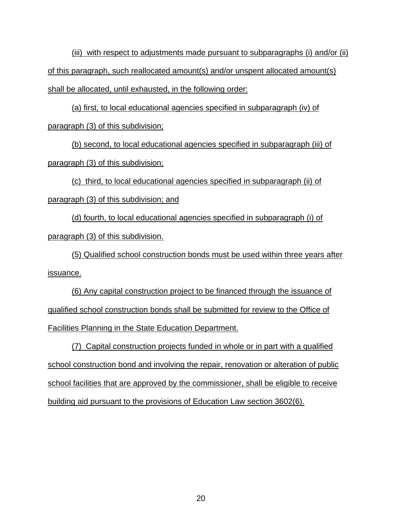(iii) with respect to adjustments made pursuant to subparagraphs (i) and/or (ii) of this paragraph, such reallocated amount(s) and/or unspent allocated amount(s) shall be allocated, until exhausted, in the following order:

(a) first, to local educational agencies specified in subparagraph (iv) of paragraph (3) of this subdivision;

(b) second, to local educational agencies specified in subparagraph (iii) of paragraph (3) of this subdivision;

(c) third, to local educational agencies specified in subparagraph (ii) of paragraph (3) of this subdivision; and

(d) fourth, to local educational agencies specified in subparagraph (i) of paragraph (3) of this subdivision.

(5) Qualified school construction bonds must be used within three years after issuance.

(6) Any capital construction project to be financed through the issuance of qualified school construction bonds shall be submitted for review to the Office of Facilities Planning in the State Education Department.

(7) Capital construction projects funded in whole or in part with a qualified school construction bond and involving the repair, renovation or alteration of public school facilities that are approved by the commissioner, shall be eligible to receive building aid pursuant to the provisions of Education Law section 3602(6).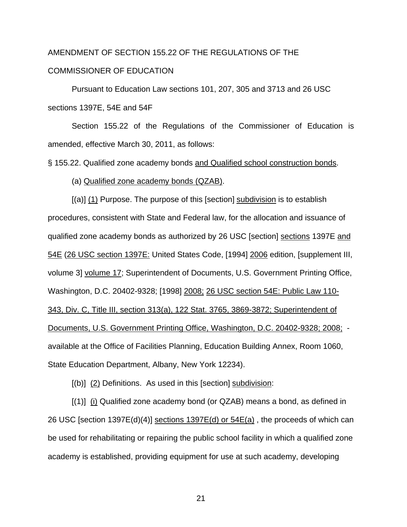# AMENDMENT OF SECTION 155.22 OF THE REGULATIONS OF THE COMMISSIONER OF EDUCATION

 Pursuant to Education Law sections 101, 207, 305 and 3713 and 26 USC sections 1397E, 54E and 54F

 Section 155.22 of the Regulations of the Commissioner of Education is amended, effective March 30, 2011, as follows:

§ 155.22. Qualified zone academy bonds and Qualified school construction bonds.

(a) Qualified zone academy bonds (QZAB).

 [(a)] (1) Purpose. The purpose of this [section] subdivision is to establish procedures, consistent with State and Federal law, for the allocation and issuance of qualified zone academy bonds as authorized by 26 USC [section] sections 1397E and 54E (26 USC section 1397E: United States Code, [1994] 2006 edition, [supplement III, volume 3] volume 17; Superintendent of Documents, U.S. Government Printing Office, Washington, D.C. 20402-9328; [1998] 2008; 26 USC section 54E: Public Law 110- 343, Div. C, Title III, section 313(a), 122 Stat. 3765, 3869-3872; Superintendent of Documents, U.S. Government Printing Office, Washington, D.C. 20402-9328; 2008; available at the Office of Facilities Planning, Education Building Annex, Room 1060, State Education Department, Albany, New York 12234).

 $[(b)]$   $(2)$  Definitions. As used in this [section] subdivision:

 $[(1)]$  (i) Qualified zone academy bond (or QZAB) means a bond, as defined in 26 USC [section 1397E(d)(4)] sections  $1397E(d)$  or  $54E(a)$ , the proceeds of which can be used for rehabilitating or repairing the public school facility in which a qualified zone academy is established, providing equipment for use at such academy, developing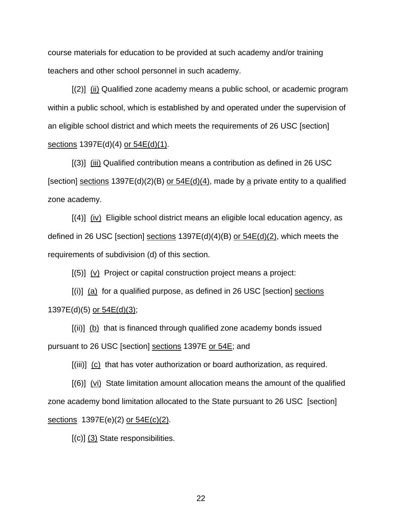course materials for education to be provided at such academy and/or training teachers and other school personnel in such academy.

 [(2)] (ii) Qualified zone academy means a public school, or academic program within a public school, which is established by and operated under the supervision of an eligible school district and which meets the requirements of 26 USC [section] sections 1397E(d)(4) or 54E(d)(1).

 [(3)] (iii) Qualified contribution means a contribution as defined in 26 USC [section] sections  $1397E(d)(2)(B)$  or  $54E(d)(4)$ , made by a private entity to a qualified zone academy.

 $[(4)]$   $(iv)$  Eligible school district means an eligible local education agency, as defined in 26 USC [section] sections  $1397E(d)(4)(B)$  or  $54E(d)(2)$ , which meets the requirements of subdivision (d) of this section.

[(5)] (v) Project or capital construction project means a project:

 $[(i)]$  (a) for a qualified purpose, as defined in 26 USC [section] sections 1397E(d)(5) or 54E(d)(3);

 $[(ii)]$  (b) that is financed through qualified zone academy bonds issued pursuant to 26 USC [section] sections 1397E or 54E; and

[(iii)] (c) that has voter authorization or board authorization, as required.

 $[(6)]$  (vi) State limitation amount allocation means the amount of the qualified zone academy bond limitation allocated to the State pursuant to 26 USC [section] sections 1397E(e)(2) or  $54E(c)(2)$ .

 $[(c)]$   $(3)$  State responsibilities.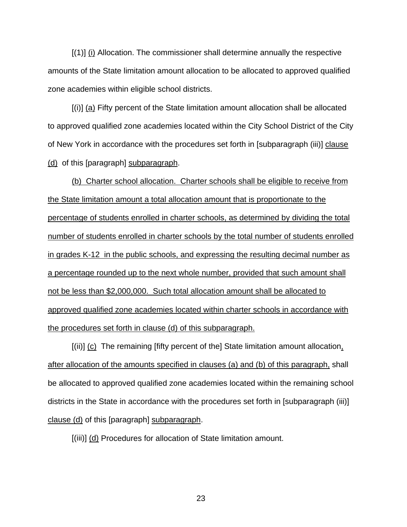[(1)] (i) Allocation. The commissioner shall determine annually the respective amounts of the State limitation amount allocation to be allocated to approved qualified zone academies within eligible school districts.

 $[(i)]$  (a) Fifty percent of the State limitation amount allocation shall be allocated to approved qualified zone academies located within the City School District of the City of New York in accordance with the procedures set forth in [subparagraph (iii)] clause (d) of this [paragraph] subparagraph.

(b) Charter school allocation. Charter schools shall be eligible to receive from the State limitation amount a total allocation amount that is proportionate to the percentage of students enrolled in charter schools, as determined by dividing the total number of students enrolled in charter schools by the total number of students enrolled in grades K-12 in the public schools, and expressing the resulting decimal number as a percentage rounded up to the next whole number, provided that such amount shall not be less than \$2,000,000. Such total allocation amount shall be allocated to approved qualified zone academies located within charter schools in accordance with the procedures set forth in clause (d) of this subparagraph.

[(ii)] (c) The remaining [fifty percent of the] State limitation amount allocation, after allocation of the amounts specified in clauses (a) and (b) of this paragraph, shall be allocated to approved qualified zone academies located within the remaining school districts in the State in accordance with the procedures set forth in [subparagraph (iii)] clause (d) of this [paragraph] subparagraph.

[(iii)] (d) Procedures for allocation of State limitation amount.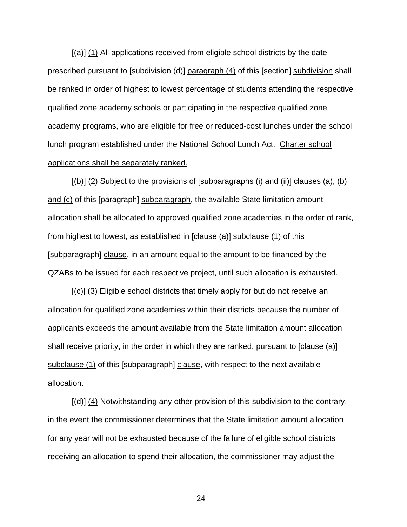[(a)] (1) All applications received from eligible school districts by the date prescribed pursuant to [subdivision (d)] paragraph (4) of this [section] subdivision shall be ranked in order of highest to lowest percentage of students attending the respective qualified zone academy schools or participating in the respective qualified zone academy programs, who are eligible for free or reduced-cost lunches under the school lunch program established under the National School Lunch Act. Charter school applications shall be separately ranked.

 $[(b)]$  (2) Subject to the provisions of [subparagraphs (i) and (ii)] clauses (a), (b) and (c) of this [paragraph] subparagraph, the available State limitation amount allocation shall be allocated to approved qualified zone academies in the order of rank, from highest to lowest, as established in [clause (a)] subclause (1) of this [subparagraph] clause, in an amount equal to the amount to be financed by the QZABs to be issued for each respective project, until such allocation is exhausted.

 [(c)] (3) Eligible school districts that timely apply for but do not receive an allocation for qualified zone academies within their districts because the number of applicants exceeds the amount available from the State limitation amount allocation shall receive priority, in the order in which they are ranked, pursuant to [clause (a)] subclause (1) of this [subparagraph] clause, with respect to the next available allocation.

 $[(d)]$  (4) Notwithstanding any other provision of this subdivision to the contrary, in the event the commissioner determines that the State limitation amount allocation for any year will not be exhausted because of the failure of eligible school districts receiving an allocation to spend their allocation, the commissioner may adjust the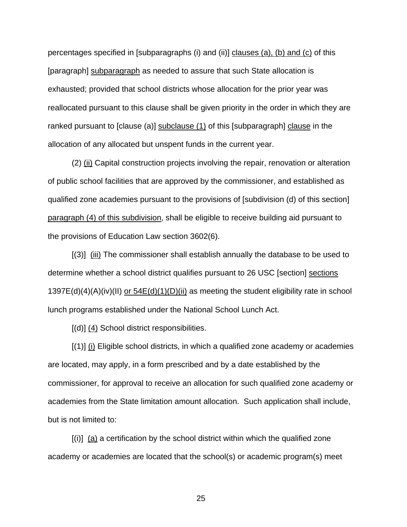percentages specified in [subparagraphs (i) and (ii)] clauses (a), (b) and (c) of this [paragraph] subparagraph as needed to assure that such State allocation is exhausted; provided that school districts whose allocation for the prior year was reallocated pursuant to this clause shall be given priority in the order in which they are ranked pursuant to [clause (a)] subclause (1) of this [subparagraph] clause in the allocation of any allocated but unspent funds in the current year.

 (2) (ii) Capital construction projects involving the repair, renovation or alteration of public school facilities that are approved by the commissioner, and established as qualified zone academies pursuant to the provisions of [subdivision (d) of this section] paragraph (4) of this subdivision, shall be eligible to receive building aid pursuant to the provisions of Education Law section 3602(6).

 [(3)] (iii) The commissioner shall establish annually the database to be used to determine whether a school district qualifies pursuant to 26 USC [section] sections 1397E(d)(4)(A)(iv)(II) <u>or 54E(d)(1)(D)(ii)</u> as meeting the student eligibility rate in school lunch programs established under the National School Lunch Act.

[(d)] (4) School district responsibilities.

 $[(1)]$   $(i)$  Eligible school districts, in which a qualified zone academy or academies are located, may apply, in a form prescribed and by a date established by the commissioner, for approval to receive an allocation for such qualified zone academy or academies from the State limitation amount allocation. Such application shall include, but is not limited to:

 $[(i)]$  (a) a certification by the school district within which the qualified zone academy or academies are located that the school(s) or academic program(s) meet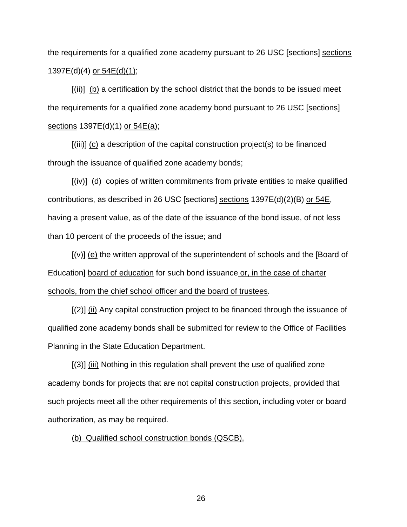the requirements for a qualified zone academy pursuant to 26 USC [sections] sections 1397E(d)(4) or 54E(d)(1);

 [(ii)] (b) a certification by the school district that the bonds to be issued meet the requirements for a qualified zone academy bond pursuant to 26 USC [sections] sections 1397E(d)(1) or 54E(a);

 $[(iii)]$  (c) a description of the capital construction project(s) to be financed through the issuance of qualified zone academy bonds;

 [(iv)] (d) copies of written commitments from private entities to make qualified contributions, as described in 26 USC [sections] sections  $1397E(d)(2)(B)$  or  $54E$ , having a present value, as of the date of the issuance of the bond issue, of not less than 10 percent of the proceeds of the issue; and

 [(v)] (e) the written approval of the superintendent of schools and the [Board of Education] board of education for such bond issuance or, in the case of charter schools, from the chief school officer and the board of trustees.

 $[(2)]$   $(i)$  Any capital construction project to be financed through the issuance of qualified zone academy bonds shall be submitted for review to the Office of Facilities Planning in the State Education Department.

 [(3)] (iii) Nothing in this regulation shall prevent the use of qualified zone academy bonds for projects that are not capital construction projects, provided that such projects meet all the other requirements of this section, including voter or board authorization, as may be required.

#### (b) Qualified school construction bonds (QSCB).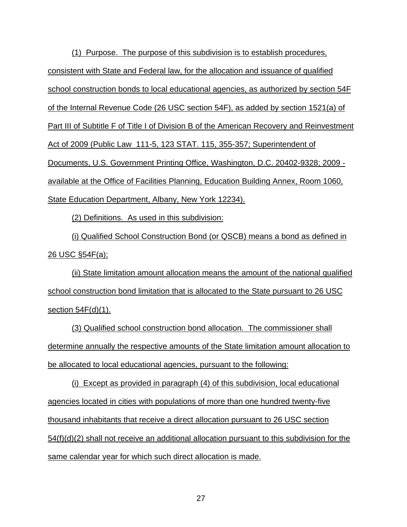(1) Purpose. The purpose of this subdivision is to establish procedures, consistent with State and Federal law, for the allocation and issuance of qualified school construction bonds to local educational agencies, as authorized by section 54F of the Internal Revenue Code (26 USC section 54F), as added by section 1521(a) of Part III of Subtitle F of Title I of Division B of the American Recovery and Reinvestment Act of 2009 (Public Law 111-5, 123 STAT. 115, 355-357; Superintendent of Documents, U.S. Government Printing Office, Washington, D.C. 20402-9328; 2009 available at the Office of Facilities Planning, Education Building Annex, Room 1060, State Education Department, Albany, New York 12234).

(2) Definitions. As used in this subdivision:

(i) Qualified School Construction Bond (or QSCB) means a bond as defined in <u>26 USC §54F(a);</u>

(ii) State limitation amount allocation means the amount of the national qualified school construction bond limitation that is allocated to the State pursuant to 26 USC section 54F(d)(1).

(3) Qualified school construction bond allocation. The commissioner shall determine annually the respective amounts of the State limitation amount allocation to be allocated to local educational agencies, pursuant to the following:

(i) Except as provided in paragraph (4) of this subdivision, local educational agencies located in cities with populations of more than one hundred twenty-five thousand inhabitants that receive a direct allocation pursuant to 26 USC section 54(f)(d)(2) shall not receive an additional allocation pursuant to this subdivision for the same calendar year for which such direct allocation is made.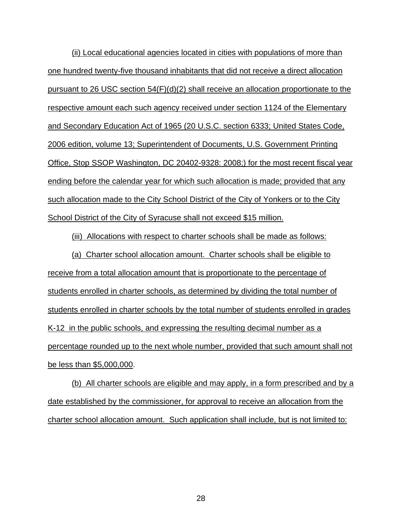(ii) Local educational agencies located in cities with populations of more than one hundred twenty-five thousand inhabitants that did not receive a direct allocation pursuant to 26 USC section 54(F)(d)(2) shall receive an allocation proportionate to the respective amount each such agency received under section 1124 of the Elementary and Secondary Education Act of 1965 (20 U.S.C. section 6333; United States Code, 2006 edition, volume 13; Superintendent of Documents, U.S. Government Printing Office, Stop SSOP Washington, DC 20402-9328: 2008;) for the most recent fiscal year ending before the calendar year for which such allocation is made; provided that any such allocation made to the City School District of the City of Yonkers or to the City School District of the City of Syracuse shall not exceed \$15 million.

(iii) Allocations with respect to charter schools shall be made as follows:

(a) Charter school allocation amount. Charter schools shall be eligible to receive from a total allocation amount that is proportionate to the percentage of students enrolled in charter schools, as determined by dividing the total number of students enrolled in charter schools by the total number of students enrolled in grades K-12 in the public schools, and expressing the resulting decimal number as a percentage rounded up to the next whole number, provided that such amount shall not be less than \$5,000,000.

(b) All charter schools are eligible and may apply, in a form prescribed and by a date established by the commissioner, for approval to receive an allocation from the charter school allocation amount. Such application shall include, but is not limited to: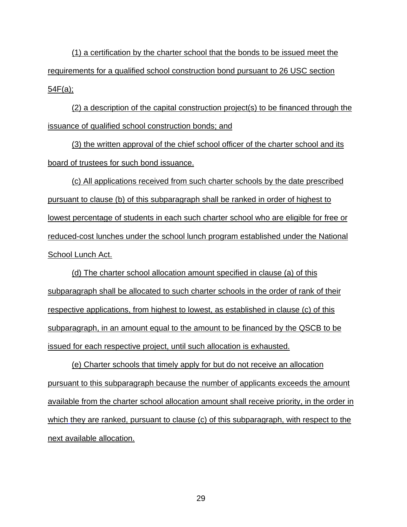(1) a certification by the charter school that the bonds to be issued meet the requirements for a qualified school construction bond pursuant to 26 USC section 54F(a);

(2) a description of the capital construction project(s) to be financed through the issuance of qualified school construction bonds; and

(3) the written approval of the chief school officer of the charter school and its board of trustees for such bond issuance.

(c) All applications received from such charter schools by the date prescribed pursuant to clause (b) of this subparagraph shall be ranked in order of highest to lowest percentage of students in each such charter school who are eligible for free or reduced-cost lunches under the school lunch program established under the National School Lunch Act.

(d) The charter school allocation amount specified in clause (a) of this subparagraph shall be allocated to such charter schools in the order of rank of their respective applications, from highest to lowest, as established in clause (c) of this subparagraph, in an amount equal to the amount to be financed by the QSCB to be issued for each respective project, until such allocation is exhausted.

(e) Charter schools that timely apply for but do not receive an allocation pursuant to this subparagraph because the number of applicants exceeds the amount available from the charter school allocation amount shall receive priority, in the order in which they are ranked, pursuant to clause (c) of this subparagraph, with respect to the next available allocation.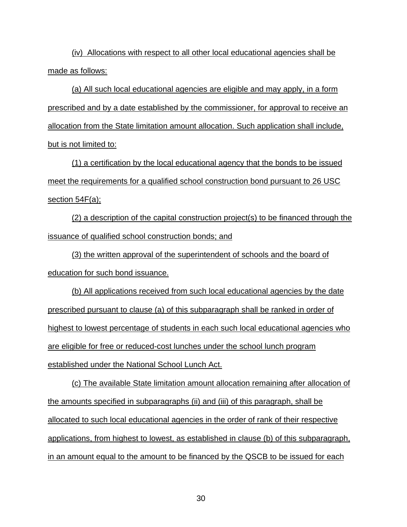(iv) Allocations with respect to all other local educational agencies shall be made as follows:

(a) All such local educational agencies are eligible and may apply, in a form prescribed and by a date established by the commissioner, for approval to receive an allocation from the State limitation amount allocation. Such application shall include, but is not limited to:

(1) a certification by the local educational agency that the bonds to be issued meet the requirements for a qualified school construction bond pursuant to 26 USC section 54F(a);

(2) a description of the capital construction project(s) to be financed through the issuance of qualified school construction bonds; and

(3) the written approval of the superintendent of schools and the board of education for such bond issuance.

(b) All applications received from such local educational agencies by the date prescribed pursuant to clause (a) of this subparagraph shall be ranked in order of highest to lowest percentage of students in each such local educational agencies who are eligible for free or reduced-cost lunches under the school lunch program established under the National School Lunch Act.

(c) The available State limitation amount allocation remaining after allocation of the amounts specified in subparagraphs (ii) and (iii) of this paragraph, shall be allocated to such local educational agencies in the order of rank of their respective applications, from highest to lowest, as established in clause (b) of this subparagraph, in an amount equal to the amount to be financed by the QSCB to be issued for each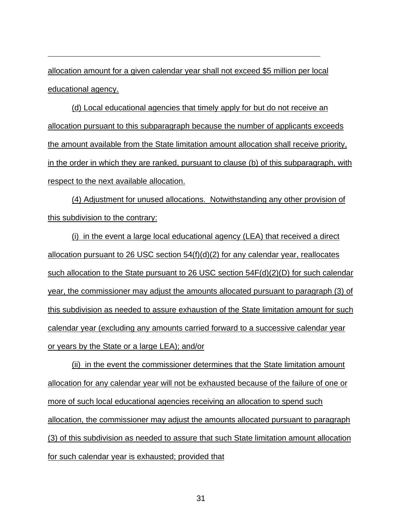allocation amount for a given calendar year shall not exceed \$5 million per local educational agency.

(d) Local educational agencies that timely apply for but do not receive an allocation pursuant to this subparagraph because the number of applicants exceeds the amount available from the State limitation amount allocation shall receive priority, in the order in which they are ranked, pursuant to clause (b) of this subparagraph, with respect to the next available allocation.

(4) Adjustment for unused allocations. Notwithstanding any other provision of this subdivision to the contrary:

(i) in the event a large local educational agency (LEA) that received a direct allocation pursuant to 26 USC section  $54(f)(d)(2)$  for any calendar year, reallocates such allocation to the State pursuant to 26 USC section 54F(d)(2)(D) for such calendar year, the commissioner may adjust the amounts allocated pursuant to paragraph (3) of this subdivision as needed to assure exhaustion of the State limitation amount for such calendar year (excluding any amounts carried forward to a successive calendar year or years by the State or a large LEA); and/or

(ii) in the event the commissioner determines that the State limitation amount allocation for any calendar year will not be exhausted because of the failure of one or more of such local educational agencies receiving an allocation to spend such allocation, the commissioner may adjust the amounts allocated pursuant to paragraph (3) of this subdivision as needed to assure that such State limitation amount allocation for such calendar year is exhausted; provided that